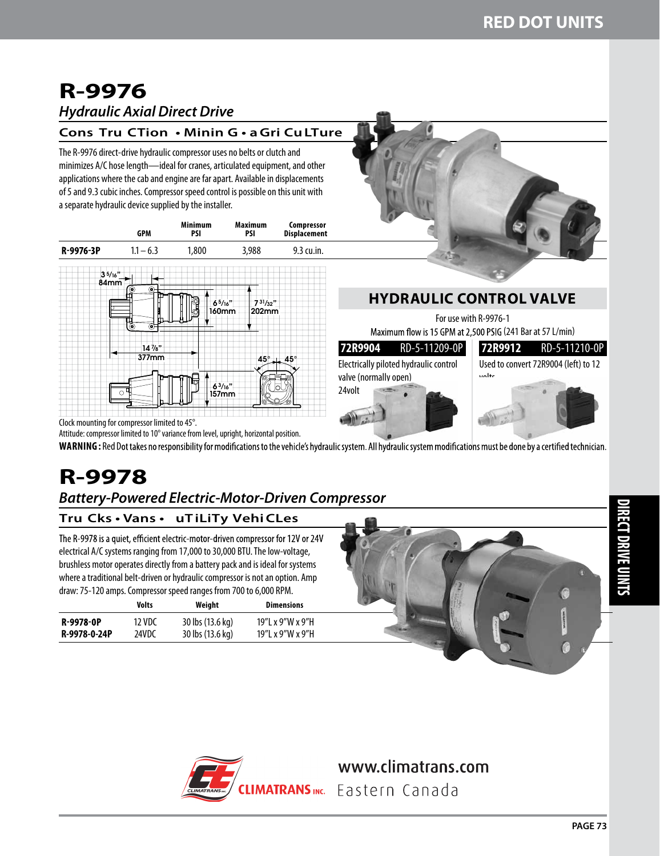## **R-9976** *Hydraulic Axial Direct Drive*

### **Cons Tru CTion • Minin G • a Gri Cu LTure**

The R-9976 direct-drive hydraulic compressor uses no belts or clutch and minimizes A/C hose length—ideal for cranes, articulated equipment, and other applications where the cab and engine are far apart. Available in displacements of 5 and 9.3 cubic inches. Compressor speed control is possible on this unit with a separate hydraulic device supplied by the installer.

|                                               | <b>GPM</b>                                                          | <b>Minimum</b><br>PSI                   | <b>Maximum</b><br>PSI                 | Compressor<br><b>Displacement</b><br>9.3 cu.in. |  |
|-----------------------------------------------|---------------------------------------------------------------------|-----------------------------------------|---------------------------------------|-------------------------------------------------|--|
| R-9976-3P                                     | $1.1 - 6.3$                                                         | 1,800                                   | 3,988                                 |                                                 |  |
| 35/16"<br>84mm                                | $^{\circ}$<br>۰<br>Ò<br>$\hat{\bullet}$<br>$14\frac{7}{8}$<br>377mm | 65/16"<br>160mm<br>$6^{3}/16"$<br>157mm | 731/32"<br>202mm<br>$45^{\circ}$<br>о | 45°<br>n                                        |  |
| Clock mounting for compressor limited to 45°. |                                                                     |                                         |                                       |                                                 |  |

## **HYDRAULIC CONTROL VALVE**

For use with R-9976-1 Maximum flow is 15 GPM at 2,500 PSIG (241 Bar at 57 L/min)

| 72R9904 RD-5-11209-0P                  | 72R9912 RD-5-11210-0P                |
|----------------------------------------|--------------------------------------|
| Electrically piloted hydraulic control | Used to convert 72R9004 (left) to 12 |
| valve (normally open)                  | <b>volte</b>                         |
| 24volt                                 |                                      |
|                                        |                                      |

Attitude: compressor limited to 10° variance from level, upright, horizontal position. WARNING : Red Dot takes no responsibility for modifications to the vehicle's hydraulic system. All hydraulic system modifications must be done by a certified technician.

# **R-9978**

## *Battery-Powered Electric-Motor-Driven Compressor*

## **Tru Cks • Vans • uT iLiTy Vehi CLes**

The R-9978 is a quiet, efficient electric-motor-driven compressor for 12V or 24V electrical A/C systems ranging from 17,000 to 30,000 BTU. The low-voltage, brushless motor operates directly from a battery pack and is ideal for systems where a traditional belt-driven or hydraulic compressor is not an option. Amp draw: 75-120 amps. Compressor speed ranges from 700 to 6,000 RPM.

|              | Volts  | Weight           | <b>Dimensions</b> |
|--------------|--------|------------------|-------------------|
| R-9978-0P    | 12 VDC | 30 lbs (13.6 kg) | 19"L x 9"W x 9"H  |
| R-9978-0-24P | 24VDC  | 30 lbs (13.6 kg) | 19"L x 9"W x 9"H  |





## www.climatrans.com

IMATRANSinc. Eastern Canada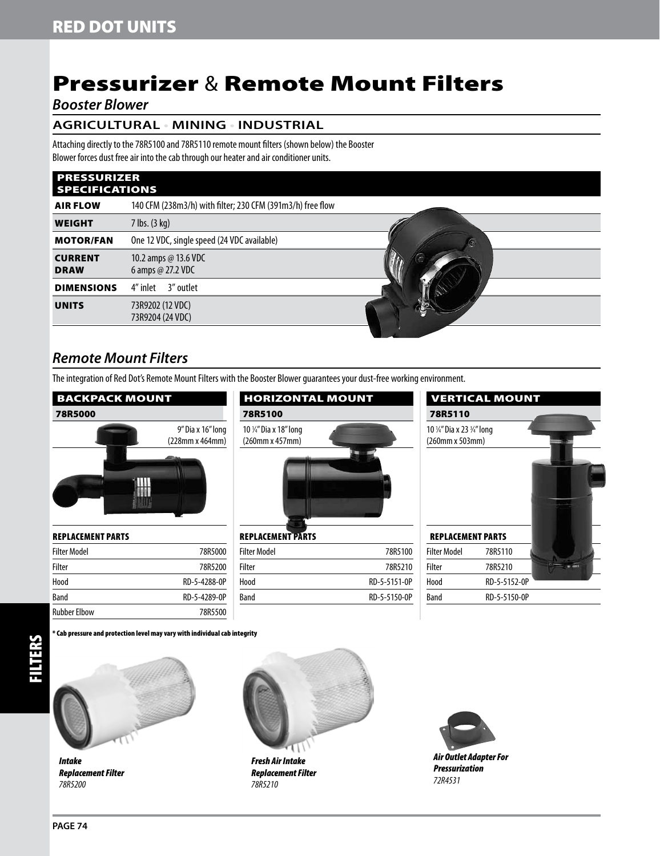## Pressurizer & Remote Mount Filters

### *Booster Blower*

### **AGRICULTURAL • MINING • INDUSTRIAL**

Attaching directly to the 78R5100 and 78R5110 remote mount filters (shown below) the Booster Blower forces dust free air into the cab through our heater and air conditioner units.

#### **PRESSURIZER** SPECIFICATIONS

| $\mathbf{H}$ is the set of $\mathbf{H}$ |                                                            |    |
|-----------------------------------------|------------------------------------------------------------|----|
| <b>AIR FLOW</b>                         | 140 CFM (238m3/h) with filter; 230 CFM (391m3/h) free flow |    |
| <b>WEIGHT</b>                           | $7$ lbs. $(3$ kg)                                          |    |
| <b>MOTOR/FAN</b>                        | One 12 VDC, single speed (24 VDC available)                | Ωī |
| <b>CURRENT</b><br><b>DRAW</b>           | 10.2 amps @ 13.6 VDC<br>6 amps $@$ 27.2 VDC                |    |
| <b>DIMENSIONS</b>                       | 4" inlet 3" outlet                                         |    |
| <b>UNITS</b>                            | 73R9202 (12 VDC)<br>73R9204 (24 VDC)                       |    |
|                                         |                                                            |    |

## *Remote Mount Filters*

The integration of Red Dot's Remote Mount Filters with the Booster Blower guarantees your dust-free working environment.

## Backpack Mount  78R5000 9" Dia x 16" long (228mm x 464mm) HH

| REPLACEMENT PARTS |              |
|-------------------|--------------|
| Filter Model      | 78R5000      |
| Filter            | 78R5200      |
| Hood              | RD-5-4288-0P |
| Band              | RD-5-4289-0P |
| Rubber Elbow      | 78R5500      |

| <b>HORIZONTAL MOUNT</b>                   |         |
|-------------------------------------------|---------|
| 78R5100                                   |         |
| 10 1/4" Dia x 18" long<br>(260mm x 457mm) |         |
| <b>REPLACEMENT PARTS</b>                  |         |
| Filter Model                              | 78R51NO |

| <b>Filter Model</b> | 78R5100      |
|---------------------|--------------|
| Filter              | 78R5210      |
| Hood                | RD-5-5151-0P |
| Band                | RD-5-5150-0P |
|                     |              |

|                            | <b>VERTICAL MOUNT</b> |  |
|----------------------------|-----------------------|--|
| 78R5110                    |                       |  |
| 10 1/4" Dia x 23 3/4" long |                       |  |
| (260mm x 503mm)            |                       |  |
|                            |                       |  |
| <b>REPLACEMENT PARTS</b>   |                       |  |
| <b>Filter Model</b>        | 78R5110               |  |
| Filter                     | 78R5210               |  |
| Hood                       | RD-5-5152-0P          |  |
| Band                       | RD-5-5150-0P          |  |

#### \* Cab pressure and protection level may vary with individual cab integrity



*Intake Replacement Filter 78R5200*



*Fresh Air Intake Replacement Filter 78R5210*



*Air Outlet Adapter For Pressurization 72R4531*

FILTERS

ĚŘ